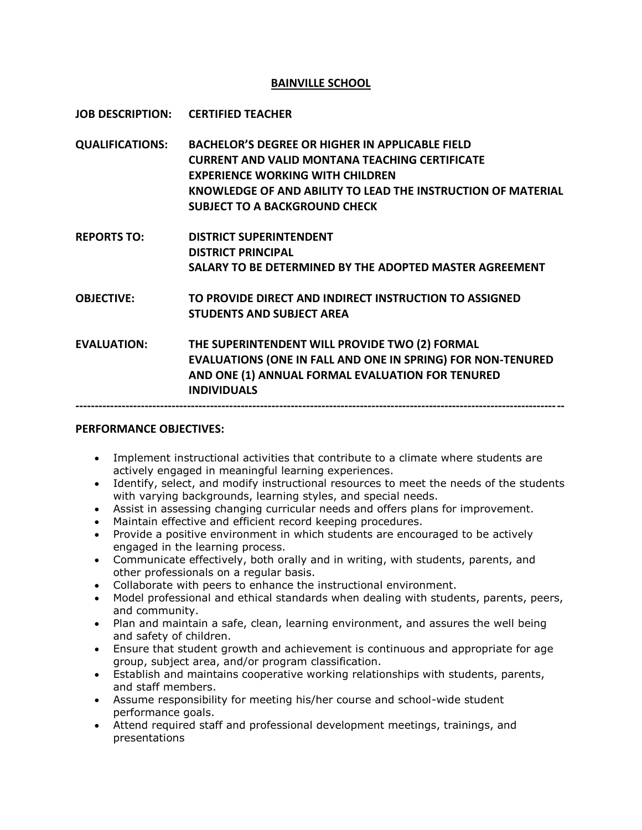## **BAINVILLE SCHOOL**

**JOB DESCRIPTION: CERTIFIED TEACHER**

- **QUALIFICATIONS: BACHELOR'S DEGREE OR HIGHER IN APPLICABLE FIELD CURRENT AND VALID MONTANA TEACHING CERTIFICATE EXPERIENCE WORKING WITH CHILDREN KNOWLEDGE OF AND ABILITY TO LEAD THE INSTRUCTION OF MATERIAL SUBJECT TO A BACKGROUND CHECK**
- **REPORTS TO: DISTRICT SUPERINTENDENT DISTRICT PRINCIPAL SALARY TO BE DETERMINED BY THE ADOPTED MASTER AGREEMENT**

**OBJECTIVE: TO PROVIDE DIRECT AND INDIRECT INSTRUCTION TO ASSIGNED STUDENTS AND SUBJECT AREA**

**EVALUATION: THE SUPERINTENDENT WILL PROVIDE TWO (2) FORMAL EVALUATIONS (ONE IN FALL AND ONE IN SPRING) FOR NON-TENURED AND ONE (1) ANNUAL FORMAL EVALUATION FOR TENURED INDIVIDUALS**

#### **-------------------------------------------------------------------------------------------------------------------------------**

### **PERFORMANCE OBJECTIVES:**

- Implement instructional activities that contribute to a climate where students are actively engaged in meaningful learning experiences.
- Identify, select, and modify instructional resources to meet the needs of the students with varying backgrounds, learning styles, and special needs.
- Assist in assessing changing curricular needs and offers plans for improvement.
- Maintain effective and efficient record keeping procedures.
- Provide a positive environment in which students are encouraged to be actively engaged in the learning process.
- Communicate effectively, both orally and in writing, with students, parents, and other professionals on a regular basis.
- Collaborate with peers to enhance the instructional environment.
- Model professional and ethical standards when dealing with students, parents, peers, and community.
- Plan and maintain a safe, clean, learning environment, and assures the well being and safety of children.
- Ensure that student growth and achievement is continuous and appropriate for age group, subject area, and/or program classification.
- Establish and maintains cooperative working relationships with students, parents, and staff members.
- Assume responsibility for meeting his/her course and school-wide student performance goals.
- Attend required staff and professional development meetings, trainings, and presentations